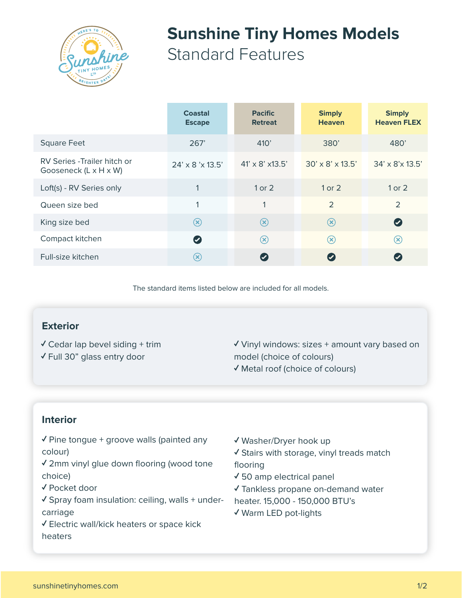

# **Sunshine Tiny Homes Models** Standard Features

|                                                       | <b>Coastal</b><br><b>Escape</b> | <b>Pacific</b><br><b>Retreat</b>     | <b>Simply</b><br><b>Heaven</b> | <b>Simply</b><br><b>Heaven FLEX</b> |
|-------------------------------------------------------|---------------------------------|--------------------------------------|--------------------------------|-------------------------------------|
| <b>Square Feet</b>                                    | 267'                            | 410'                                 | 380'                           | 480'                                |
| RV Series - Trailer hitch or<br>Gooseneck (L x H x W) | $24' \times 8' \times 13.5'$    | $41' \times 8' \times 13.5'$         | $30' \times 8' \times 13.5'$   | $34' \times 8' \times 13.5'$        |
| Loft(s) - RV Series only                              | $\mathbf{1}$                    | 1 or 2                               | $1$ or $2$                     | $1$ or $2$                          |
| Queen size bed                                        | $\mathbf{1}$                    | $\mathbf 1$                          | $\overline{2}$                 | $\overline{2}$                      |
| King size bed                                         | $\circledast$                   | $\circledR$                          | $\circledast$                  | $\bullet$                           |
| Compact kitchen                                       | $\bullet$                       | $\left( \widehat{\mathsf{x}}\right)$ | $\circledR$                    | $\circledast$                       |
| Full-size kitchen                                     | $(\mathsf{x})$                  |                                      | $\blacktriangledown$           |                                     |

The standard items listed below are included for all models.

#### **Exterior**

- $\checkmark$  Cedar lap bevel siding + trim
- ✓ Full 30" glass entry door

✓ Vinyl windows: sizes + amount vary based on model (choice of colours) ✓ Metal roof (choice of colours)

## **Interior**

- ✓ Pine tongue + groove walls (painted any colour)
- ✓ 2mm vinyl glue down flooring (wood tone choice)
- ✓ Pocket door
- ✓ Spray foam insulation: ceiling, walls + undercarriage
- ✓ Electric wall/kick heaters or space kick heaters
- ✓ Washer/Dryer hook up
- ✓ Stairs with storage, vinyl treads match flooring
- ✓ 50 amp electrical panel
- ✓ Tankless propane on-demand water
- heater. 15,000 150,000 BTU's
- ✓ Warm LED pot-lights